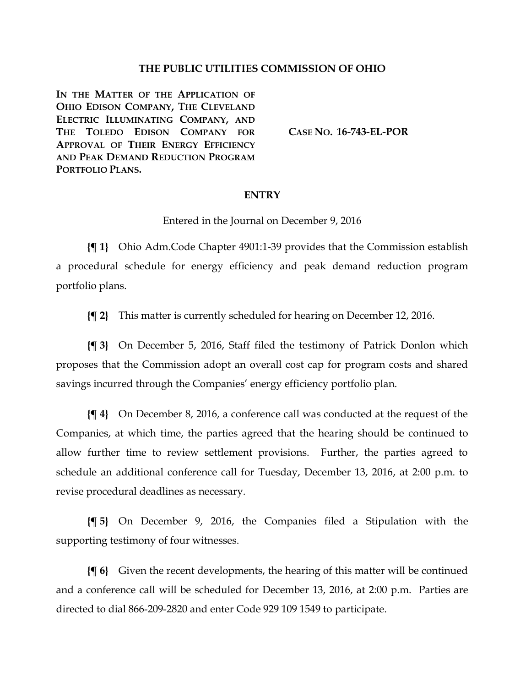#### **THE PUBLIC UTILITIES COMMISSION OF OHIO**

**IN THE MATTER OF THE APPLICATION OF OHIO EDISON COMPANY, THE CLEVELAND ELECTRIC ILLUMINATING COMPANY, AND THE TOLEDO EDISON COMPANY FOR APPROVAL OF THEIR ENERGY EFFICIENCY AND PEAK DEMAND REDUCTION PROGRAM PORTFOLIO PLANS.**

**CASE NO. [16-743-EL-POR](http://dis.puc.state.oh.us/CaseRecord.aspx?CaseNo=16-743)**

#### **ENTRY**

Entered in the Journal on December 9, 2016

**{¶ 1}** Ohio Adm.Code Chapter 4901:1-39 provides that the Commission establish a procedural schedule for energy efficiency and peak demand reduction program portfolio plans.

**{¶ 2}** This matter is currently scheduled for hearing on December 12, 2016.

**{¶ 3}** On December 5, 2016, Staff filed the testimony of Patrick Donlon which proposes that the Commission adopt an overall cost cap for program costs and shared savings incurred through the Companies' energy efficiency portfolio plan.

**{¶ 4}** On December 8, 2016, a conference call was conducted at the request of the Companies, at which time, the parties agreed that the hearing should be continued to allow further time to review settlement provisions. Further, the parties agreed to schedule an additional conference call for Tuesday, December 13, 2016, at 2:00 p.m. to revise procedural deadlines as necessary.

**{¶ 5}** On December 9, 2016, the Companies filed a Stipulation with the supporting testimony of four witnesses.

**{¶ 6}** Given the recent developments, the hearing of this matter will be continued and a conference call will be scheduled for December 13, 2016, at 2:00 p.m. Parties are directed to dial 866-209-2820 and enter Code 929 109 1549 to participate.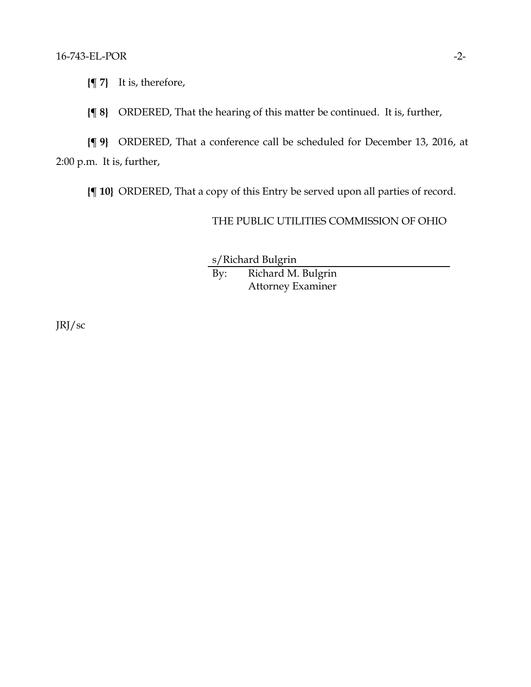**{¶ 7}** It is, therefore,

**{¶ 8}** ORDERED, That the hearing of this matter be continued. It is, further,

**{¶ 9}** ORDERED, That a conference call be scheduled for December 13, 2016, at 2:00 p.m. It is, further,

**{¶ 10}** ORDERED, That a copy of this Entry be served upon all parties of record.

# THE PUBLIC UTILITIES COMMISSION OF OHIO

s/Richard Bulgrin By: Richard M. Bulgrin Attorney Examiner

JRJ/sc